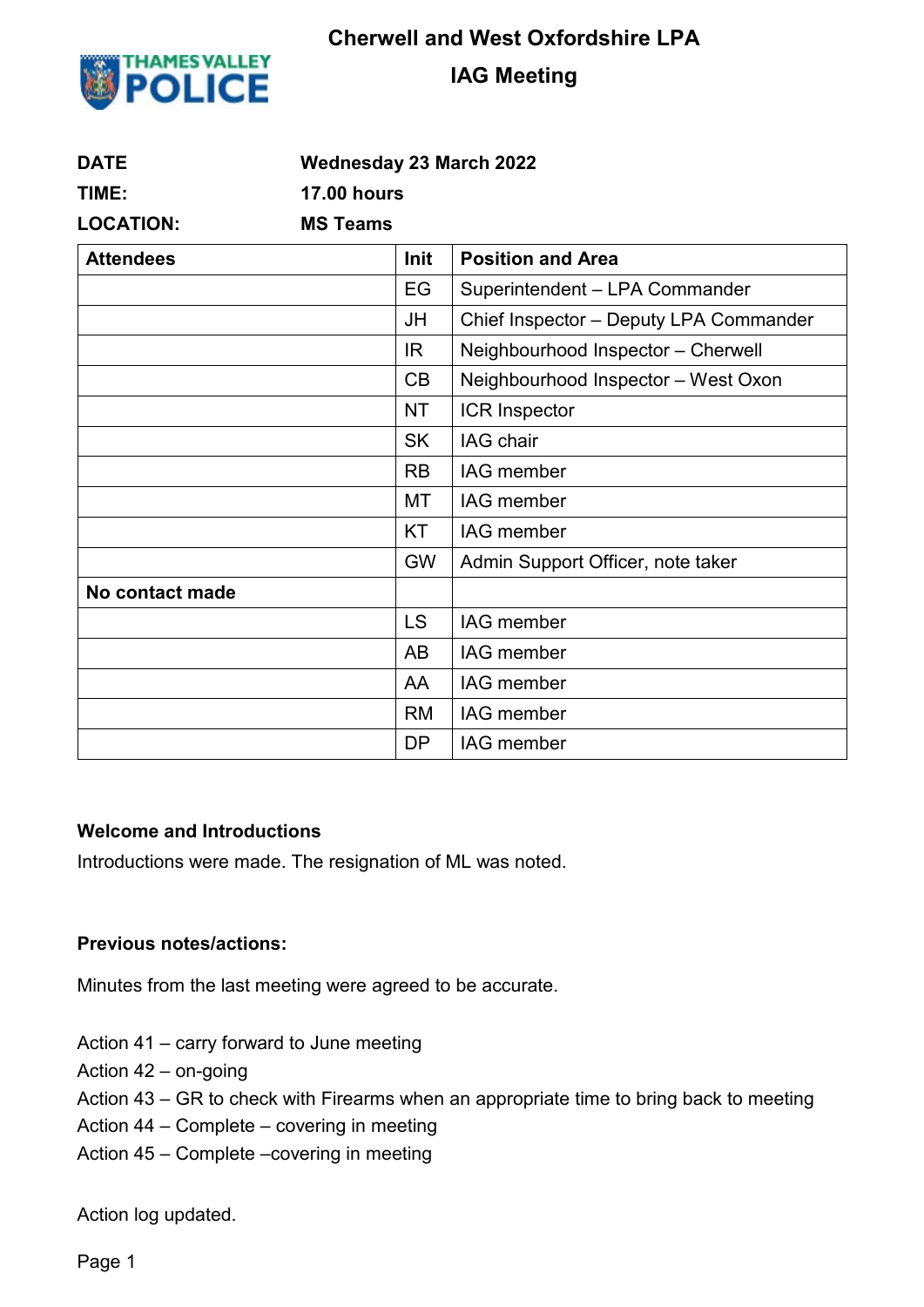

# **Cherwell and West Oxfordshire LPA**

## **IAG Meeting**

| <b>DATE</b>      | <b>Wednesday 23 March 2022</b> |                                        |  |  |  |
|------------------|--------------------------------|----------------------------------------|--|--|--|
| TIME:            | <b>17.00 hours</b>             |                                        |  |  |  |
| <b>LOCATION:</b> | <b>MS Teams</b>                |                                        |  |  |  |
| <b>Attendees</b> | Init                           | <b>Position and Area</b>               |  |  |  |
|                  | EG                             | Superintendent - LPA Commander         |  |  |  |
|                  | JH                             | Chief Inspector - Deputy LPA Commander |  |  |  |
|                  | IR.                            | Neighbourhood Inspector - Cherwell     |  |  |  |
|                  | CB                             | Neighbourhood Inspector - West Oxon    |  |  |  |
|                  | <b>NT</b>                      | ICR Inspector                          |  |  |  |
|                  | <b>SK</b>                      | IAG chair                              |  |  |  |
|                  | <b>RB</b>                      | <b>IAG</b> member                      |  |  |  |
|                  | MT                             | IAG member                             |  |  |  |
|                  | <b>KT</b>                      | <b>IAG</b> member                      |  |  |  |
|                  | <b>GW</b>                      | Admin Support Officer, note taker      |  |  |  |
| No contact made  |                                |                                        |  |  |  |
|                  | <b>LS</b>                      | <b>IAG</b> member                      |  |  |  |
|                  | AB                             | <b>IAG</b> member                      |  |  |  |
|                  | AA                             | <b>IAG</b> member                      |  |  |  |
|                  | <b>RM</b>                      | IAG member                             |  |  |  |
|                  | <b>DP</b>                      | IAG member                             |  |  |  |

#### **Welcome and Introductions**

Introductions were made. The resignation of ML was noted.

#### **Previous notes/actions:**

Minutes from the last meeting were agreed to be accurate.

Action 41 – carry forward to June meeting

Action 42 – on-going

Action 43 – GR to check with Firearms when an appropriate time to bring back to meeting

Action 44 – Complete – covering in meeting

Action 45 – Complete –covering in meeting

Action log updated.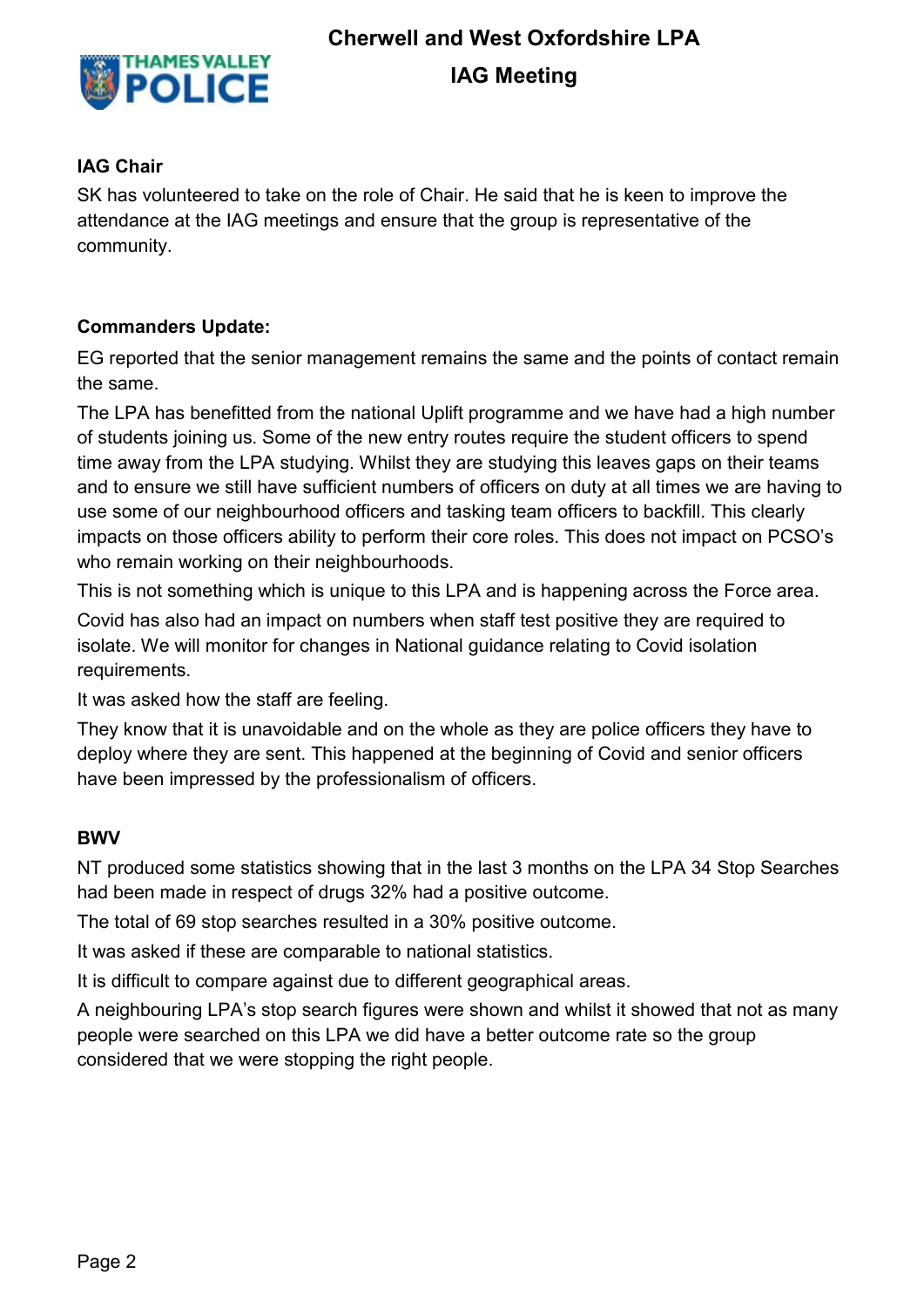

# **Cherwell and West Oxfordshire LPA**

# **IAG Meeting**

#### **IAG Chair**

SK has volunteered to take on the role of Chair. He said that he is keen to improve the attendance at the IAG meetings and ensure that the group is representative of the community.

#### **Commanders Update:**

EG reported that the senior management remains the same and the points of contact remain the same.

The LPA has benefitted from the national Uplift programme and we have had a high number of students joining us. Some of the new entry routes require the student officers to spend time away from the LPA studying. Whilst they are studying this leaves gaps on their teams and to ensure we still have sufficient numbers of officers on duty at all times we are having to use some of our neighbourhood officers and tasking team officers to backfill. This clearly impacts on those officers ability to perform their core roles. This does not impact on PCSO's who remain working on their neighbourhoods.

This is not something which is unique to this LPA and is happening across the Force area.

Covid has also had an impact on numbers when staff test positive they are required to isolate. We will monitor for changes in National guidance relating to Covid isolation requirements.

It was asked how the staff are feeling.

They know that it is unavoidable and on the whole as they are police officers they have to deploy where they are sent. This happened at the beginning of Covid and senior officers have been impressed by the professionalism of officers.

#### **BWV**

NT produced some statistics showing that in the last 3 months on the LPA 34 Stop Searches had been made in respect of drugs 32% had a positive outcome.

The total of 69 stop searches resulted in a 30% positive outcome.

It was asked if these are comparable to national statistics.

It is difficult to compare against due to different geographical areas.

A neighbouring LPA's stop search figures were shown and whilst it showed that not as many people were searched on this LPA we did have a better outcome rate so the group considered that we were stopping the right people.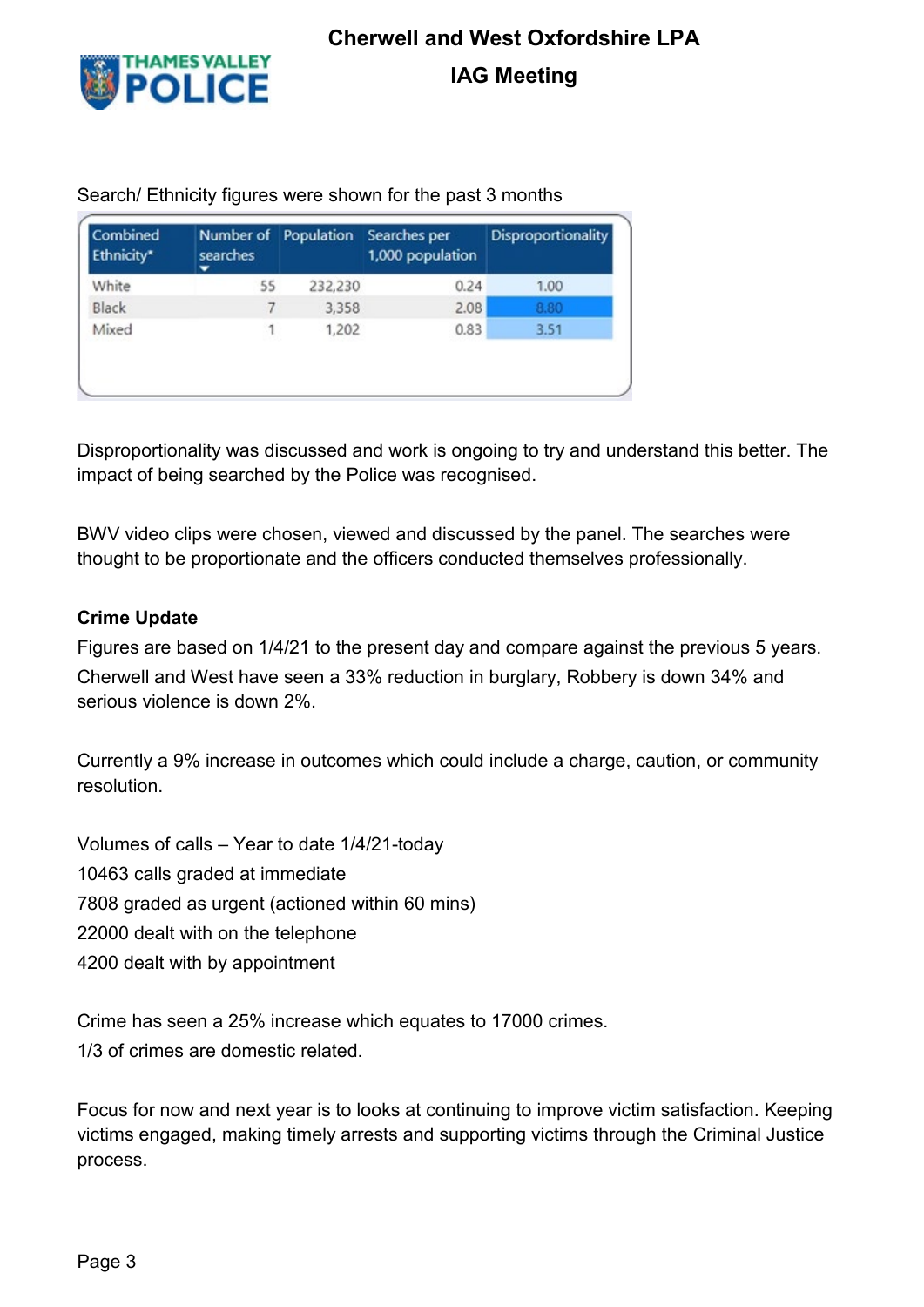

| Combined<br>Ethnicity* | Number of<br>searches | Population | Searches per<br>1,000 population | Disproportionality |
|------------------------|-----------------------|------------|----------------------------------|--------------------|
| White                  | 55                    | 232,230    | 0.24                             | 1.00               |
| Black                  |                       | 3,358      | 2.08                             | 8.80               |
| Mixed                  |                       | 1,202      | 0.83                             | 3.51               |

Search/ Ethnicity figures were shown for the past 3 months

Disproportionality was discussed and work is ongoing to try and understand this better. The impact of being searched by the Police was recognised.

BWV video clips were chosen, viewed and discussed by the panel. The searches were thought to be proportionate and the officers conducted themselves professionally.

#### **Crime Update**

Figures are based on 1/4/21 to the present day and compare against the previous 5 years. Cherwell and West have seen a 33% reduction in burglary, Robbery is down 34% and serious violence is down 2%.

Currently a 9% increase in outcomes which could include a charge, caution, or community resolution.

Volumes of calls – Year to date 1/4/21-today 10463 calls graded at immediate 7808 graded as urgent (actioned within 60 mins) 22000 dealt with on the telephone 4200 dealt with by appointment

Crime has seen a 25% increase which equates to 17000 crimes. 1/3 of crimes are domestic related.

Focus for now and next year is to looks at continuing to improve victim satisfaction. Keeping victims engaged, making timely arrests and supporting victims through the Criminal Justice process.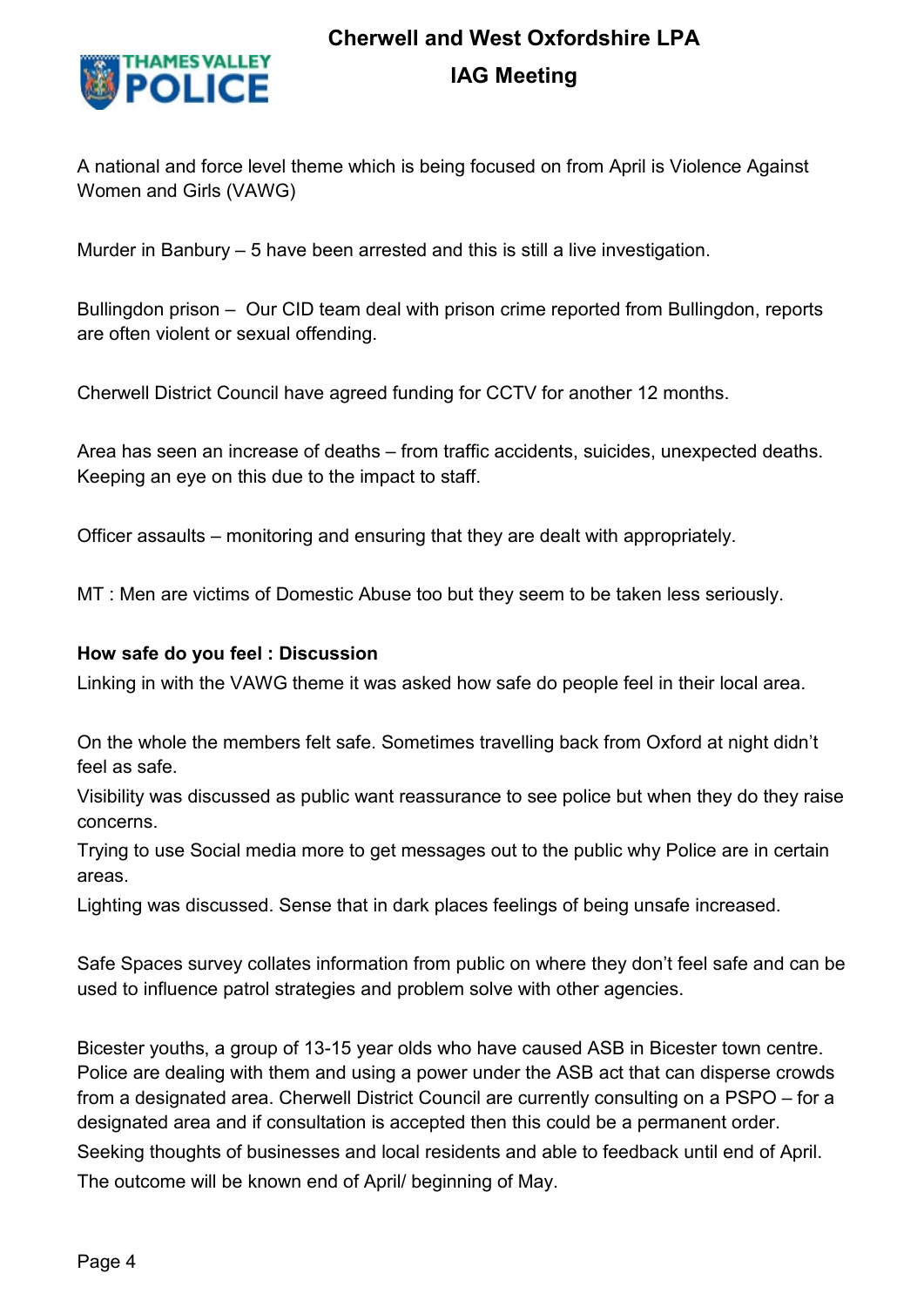

A national and force level theme which is being focused on from April is Violence Against Women and Girls (VAWG)

Murder in Banbury – 5 have been arrested and this is still a live investigation.

Bullingdon prison – Our CID team deal with prison crime reported from Bullingdon, reports are often violent or sexual offending.

Cherwell District Council have agreed funding for CCTV for another 12 months.

Area has seen an increase of deaths – from traffic accidents, suicides, unexpected deaths. Keeping an eye on this due to the impact to staff.

Officer assaults – monitoring and ensuring that they are dealt with appropriately.

MT : Men are victims of Domestic Abuse too but they seem to be taken less seriously.

#### **How safe do you feel : Discussion**

Linking in with the VAWG theme it was asked how safe do people feel in their local area.

On the whole the members felt safe. Sometimes travelling back from Oxford at night didn't feel as safe.

Visibility was discussed as public want reassurance to see police but when they do they raise concerns.

Trying to use Social media more to get messages out to the public why Police are in certain areas.

Lighting was discussed. Sense that in dark places feelings of being unsafe increased.

Safe Spaces survey collates information from public on where they don't feel safe and can be used to influence patrol strategies and problem solve with other agencies.

Bicester youths, a group of 13-15 year olds who have caused ASB in Bicester town centre. Police are dealing with them and using a power under the ASB act that can disperse crowds from a designated area. Cherwell District Council are currently consulting on a PSPO – for a designated area and if consultation is accepted then this could be a permanent order. Seeking thoughts of businesses and local residents and able to feedback until end of April. The outcome will be known end of April/ beginning of May.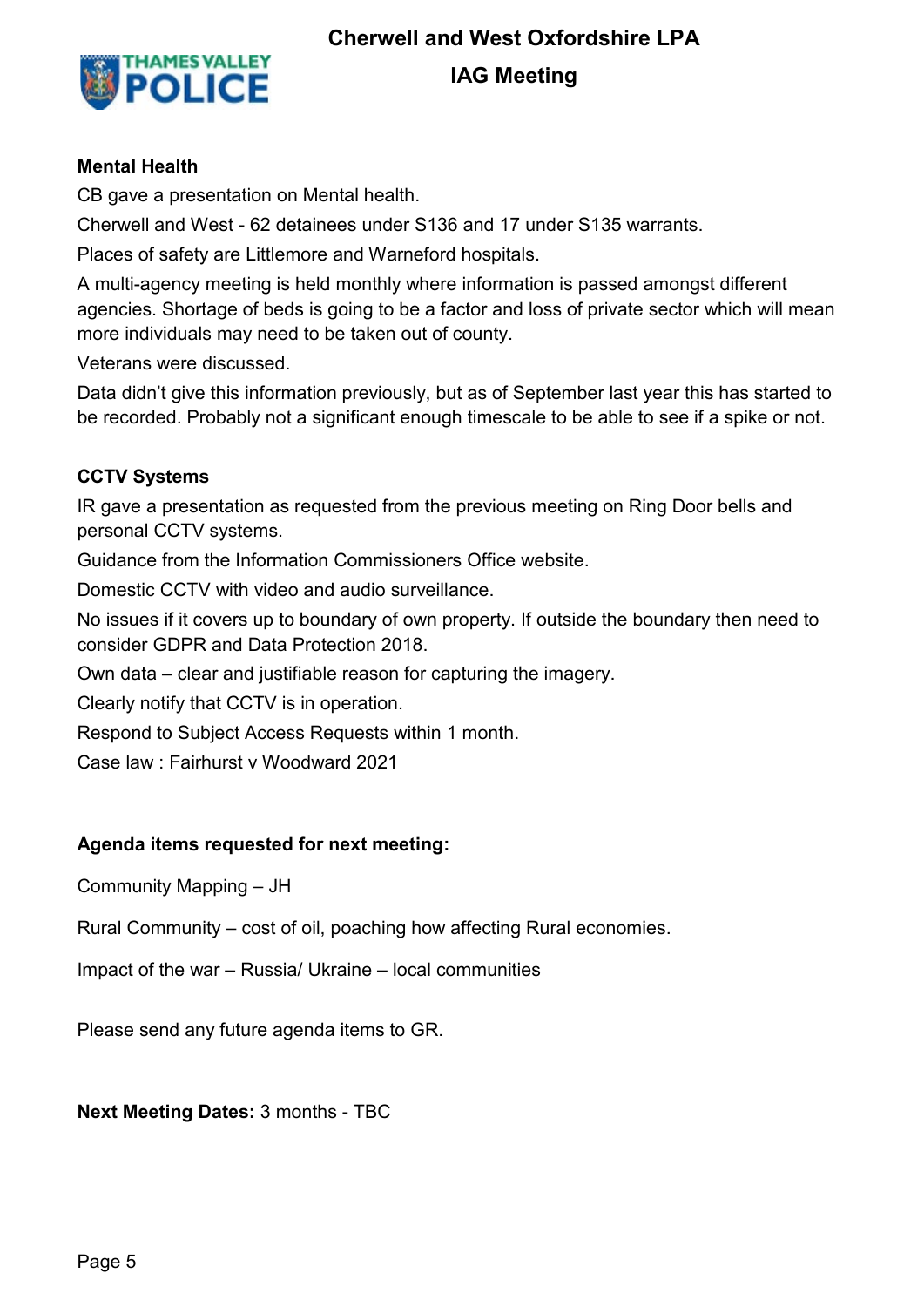

# **Cherwell and West Oxfordshire LPA**

## **IAG Meeting**

#### **Mental Health**

CB gave a presentation on Mental health.

Cherwell and West - 62 detainees under S136 and 17 under S135 warrants.

Places of safety are Littlemore and Warneford hospitals.

A multi-agency meeting is held monthly where information is passed amongst different agencies. Shortage of beds is going to be a factor and loss of private sector which will mean more individuals may need to be taken out of county.

Veterans were discussed.

Data didn't give this information previously, but as of September last year this has started to be recorded. Probably not a significant enough timescale to be able to see if a spike or not.

#### **CCTV Systems**

IR gave a presentation as requested from the previous meeting on Ring Door bells and personal CCTV systems.

Guidance from the Information Commissioners Office website.

Domestic CCTV with video and audio surveillance.

No issues if it covers up to boundary of own property. If outside the boundary then need to consider GDPR and Data Protection 2018.

Own data – clear and justifiable reason for capturing the imagery.

Clearly notify that CCTV is in operation.

Respond to Subject Access Requests within 1 month.

Case law : Fairhurst v Woodward 2021

#### **Agenda items requested for next meeting:**

Community Mapping – JH

Rural Community – cost of oil, poaching how affecting Rural economies.

Impact of the war – Russia/ Ukraine – local communities

Please send any future agenda items to GR.

**Next Meeting Dates:** 3 months - TBC